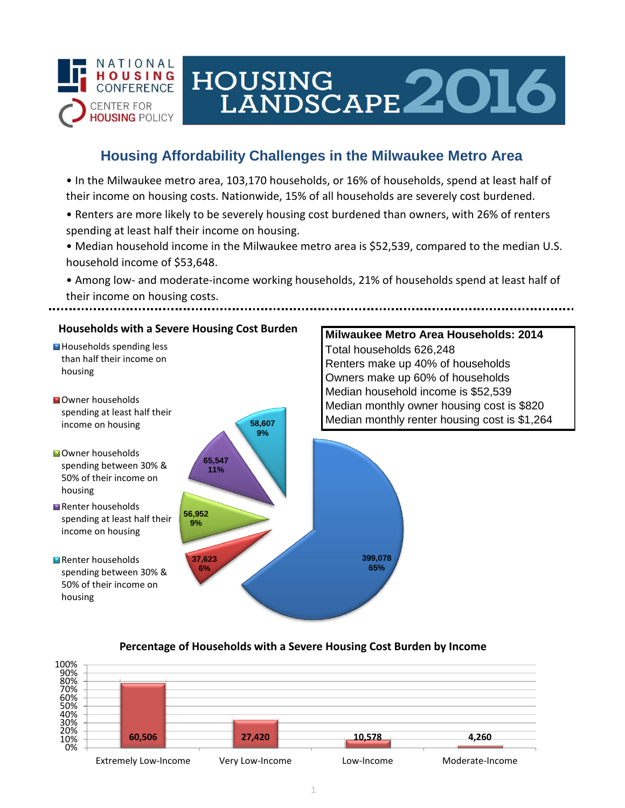

# HOUSING LANDSCAPE 2016

## **Housing Affordability Challenges in the Milwaukee Metro Area**

• In the Milwaukee metro area, 103,170 households, or 16% of households, spend at least half of their income on housing costs. Nationwide, 15% of all households are severely cost burdened.

- Renters are more likely to be severely housing cost burdened than owners, with 26% of renters spending at least half their income on housing.
- Median household income in the Milwaukee metro area is \$52,539, compared to the median U.S. household income of \$53,648.

• Among low- and moderate-income working households, 21% of households spend at least half of their income on housing costs.



### **Percentage of Households with a Severe Housing Cost Burden by Income**